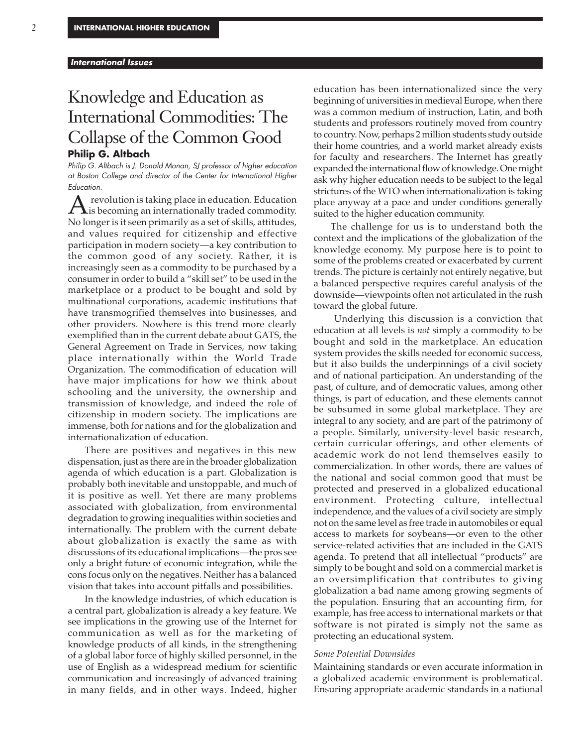#### **International Issues**

# Knowledge and Education as International Commodities: The Collapse of the Common Good **Philip G. Altbach**

Philip G. Altbach is J. Donald Monan, SJ professor of higher education at Boston College and director of the Center for International Higher **Education** 

A revolution is taking place in education. Education<br>No long anis it case with a situation of a little attitudes No longer is it seen primarily as a set of skills, attitudes, and values required for citizenship and effective participation in modern society—a key contribution to the common good of any society. Rather, it is increasingly seen as a commodity to be purchased by a consumer in order to build a "skill set" to be used in the marketplace or a product to be bought and sold by multinational corporations, academic institutions that have transmogrified themselves into businesses, and other providers. Nowhere is this trend more clearly exemplified than in the current debate about GATS, the General Agreement on Trade in Services, now taking place internationally within the World Trade Organization. The commodification of education will have major implications for how we think about schooling and the university, the ownership and transmission of knowledge, and indeed the role of citizenship in modern society. The implications are immense, both for nations and for the globalization and internationalization of education.

There are positives and negatives in this new dispensation, just as there are in the broader globalization agenda of which education is a part. Globalization is probably both inevitable and unstoppable, and much of it is positive as well. Yet there are many problems associated with globalization, from environmental degradation to growing inequalities within societies and internationally. The problem with the current debate about globalization is exactly the same as with discussions of its educational implications—the pros see only a bright future of economic integration, while the cons focus only on the negatives. Neither has a balanced vision that takes into account pitfalls and possibilities.

In the knowledge industries, of which education is a central part, globalization is already a key feature. We see implications in the growing use of the Internet for communication as well as for the marketing of knowledge products of all kinds, in the strengthening of a global labor force of highly skilled personnel, in the use of English as a widespread medium for scientific communication and increasingly of advanced training in many fields, and in other ways. Indeed, higher education has been internationalized since the very beginning of universities in medieval Europe, when there was a common medium of instruction, Latin, and both students and professors routinely moved from country to country. Now, perhaps 2 million students study outside their home countries, and a world market already exists for faculty and researchers. The Internet has greatly expanded the international flow of knowledge. One might ask why higher education needs to be subject to the legal strictures of the WTO when internationalization is taking place anyway at a pace and under conditions generally suited to the higher education community.

The challenge for us is to understand both the context and the implications of the globalization of the knowledge economy. My purpose here is to point to some of the problems created or exacerbated by current trends. The picture is certainly not entirely negative, but a balanced perspective requires careful analysis of the downside—viewpoints often not articulated in the rush toward the global future.

Underlying this discussion is a conviction that education at all levels is *not* simply a commodity to be bought and sold in the marketplace. An education system provides the skills needed for economic success, but it also builds the underpinnings of a civil society and of national participation. An understanding of the past, of culture, and of democratic values, among other things, is part of education, and these elements cannot be subsumed in some global marketplace. They are integral to any society, and are part of the patrimony of a people. Similarly, university-level basic research, certain curricular offerings, and other elements of academic work do not lend themselves easily to commercialization. In other words, there are values of the national and social common good that must be protected and preserved in a globalized educational environment. Protecting culture, intellectual independence, and the values of a civil society are simply not on the same level as free trade in automobiles or equal access to markets for soybeans—or even to the other service-related activities that are included in the GATS agenda. To pretend that all intellectual "products" are simply to be bought and sold on a commercial market is an oversimplification that contributes to giving globalization a bad name among growing segments of the population. Ensuring that an accounting firm, for example, has free access to international markets or that software is not pirated is simply not the same as protecting an educational system.

#### *Some Potential Downsides*

Maintaining standards or even accurate information in a globalized academic environment is problematical. Ensuring appropriate academic standards in a national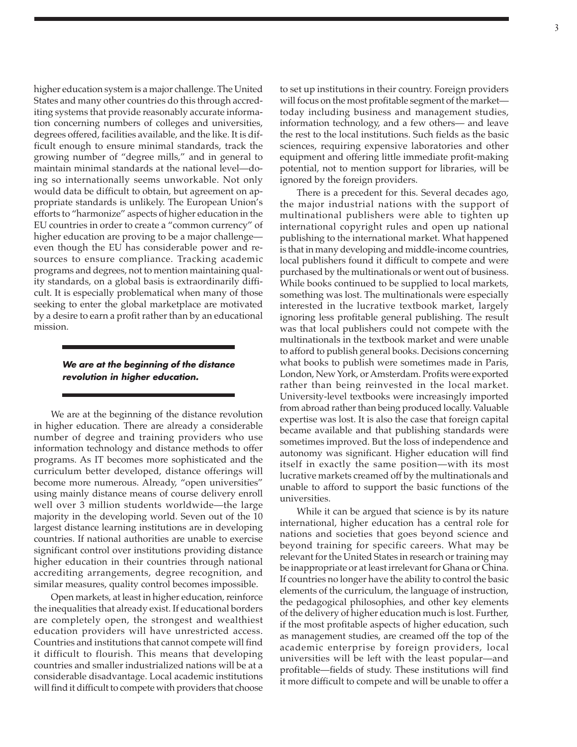higher education system is a major challenge. The United States and many other countries do this through accrediting systems that provide reasonably accurate information concerning numbers of colleges and universities, degrees offered, facilities available, and the like. It is difficult enough to ensure minimal standards, track the growing number of "degree mills," and in general to maintain minimal standards at the national level—doing so internationally seems unworkable. Not only would data be difficult to obtain, but agreement on appropriate standards is unlikely. The European Union's efforts to "harmonize" aspects of higher education in the EU countries in order to create a "common currency" of higher education are proving to be a major challenge even though the EU has considerable power and resources to ensure compliance. Tracking academic programs and degrees, not to mention maintaining quality standards, on a global basis is extraordinarily difficult. It is especially problematical when many of those seeking to enter the global marketplace are motivated by a desire to earn a profit rather than by an educational mission.

# **We are at the beginning of the distance revolution in higher education.**

We are at the beginning of the distance revolution in higher education. There are already a considerable number of degree and training providers who use information technology and distance methods to offer programs. As IT becomes more sophisticated and the curriculum better developed, distance offerings will become more numerous. Already, "open universities" using mainly distance means of course delivery enroll well over 3 million students worldwide—the large majority in the developing world. Seven out of the 10 largest distance learning institutions are in developing countries. If national authorities are unable to exercise significant control over institutions providing distance higher education in their countries through national accrediting arrangements, degree recognition, and similar measures, quality control becomes impossible.

Open markets, at least in higher education, reinforce the inequalities that already exist. If educational borders are completely open, the strongest and wealthiest education providers will have unrestricted access. Countries and institutions that cannot compete will find it difficult to flourish. This means that developing countries and smaller industrialized nations will be at a considerable disadvantage. Local academic institutions will find it difficult to compete with providers that choose

to set up institutions in their country. Foreign providers will focus on the most profitable segment of the market today including business and management studies, information technology, and a few others— and leave the rest to the local institutions. Such fields as the basic sciences, requiring expensive laboratories and other equipment and offering little immediate profit-making potential, not to mention support for libraries, will be ignored by the foreign providers.

There is a precedent for this. Several decades ago, the major industrial nations with the support of multinational publishers were able to tighten up international copyright rules and open up national publishing to the international market. What happened is that in many developing and middle-income countries, local publishers found it difficult to compete and were purchased by the multinationals or went out of business. While books continued to be supplied to local markets, something was lost. The multinationals were especially interested in the lucrative textbook market, largely ignoring less profitable general publishing. The result was that local publishers could not compete with the multinationals in the textbook market and were unable to afford to publish general books. Decisions concerning what books to publish were sometimes made in Paris, London, New York, or Amsterdam. Profits were exported rather than being reinvested in the local market. University-level textbooks were increasingly imported from abroad rather than being produced locally. Valuable expertise was lost. It is also the case that foreign capital became available and that publishing standards were sometimes improved. But the loss of independence and autonomy was significant. Higher education will find itself in exactly the same position—with its most lucrative markets creamed off by the multinationals and unable to afford to support the basic functions of the universities.

While it can be argued that science is by its nature international, higher education has a central role for nations and societies that goes beyond science and beyond training for specific careers. What may be relevant for the United States in research or training may be inappropriate or at least irrelevant for Ghana or China. If countries no longer have the ability to control the basic elements of the curriculum, the language of instruction, the pedagogical philosophies, and other key elements of the delivery of higher education much is lost. Further, if the most profitable aspects of higher education, such as management studies, are creamed off the top of the academic enterprise by foreign providers, local universities will be left with the least popular—and profitable—fields of study. These institutions will find it more difficult to compete and will be unable to offer a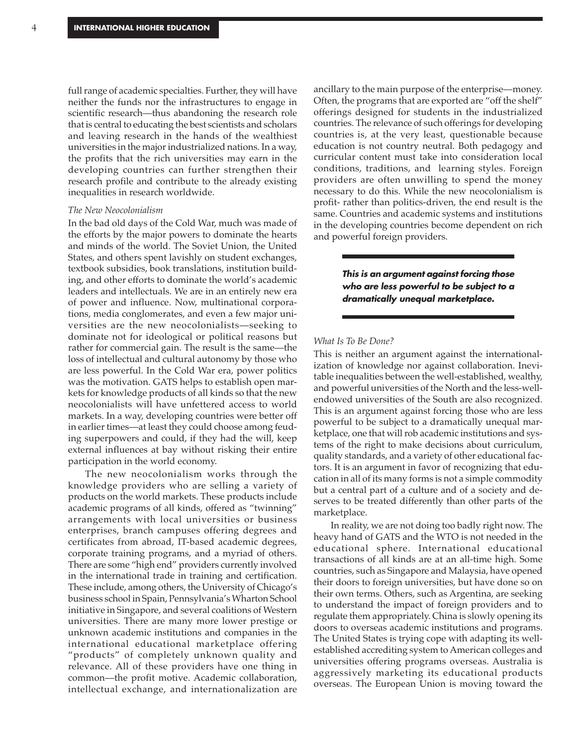full range of academic specialties. Further, they will have neither the funds nor the infrastructures to engage in scientific research—thus abandoning the research role that is central to educating the best scientists and scholars and leaving research in the hands of the wealthiest universities in the major industrialized nations. In a way, the profits that the rich universities may earn in the developing countries can further strengthen their research profile and contribute to the already existing inequalities in research worldwide.

#### *The New Neocolonialism*

In the bad old days of the Cold War, much was made of the efforts by the major powers to dominate the hearts and minds of the world. The Soviet Union, the United States, and others spent lavishly on student exchanges, textbook subsidies, book translations, institution building, and other efforts to dominate the world's academic leaders and intellectuals. We are in an entirely new era of power and influence. Now, multinational corporations, media conglomerates, and even a few major universities are the new neocolonialists—seeking to dominate not for ideological or political reasons but rather for commercial gain. The result is the same—the loss of intellectual and cultural autonomy by those who are less powerful. In the Cold War era, power politics was the motivation. GATS helps to establish open markets for knowledge products of all kinds so that the new neocolonialists will have unfettered access to world markets. In a way, developing countries were better off in earlier times—at least they could choose among feuding superpowers and could, if they had the will, keep external influences at bay without risking their entire participation in the world economy.

The new neocolonialism works through the knowledge providers who are selling a variety of products on the world markets. These products include academic programs of all kinds, offered as "twinning" arrangements with local universities or business enterprises, branch campuses offering degrees and certificates from abroad, IT-based academic degrees, corporate training programs, and a myriad of others. There are some "high end" providers currently involved in the international trade in training and certification. These include, among others, the University of Chicago's business school in Spain, Pennsylvania's Wharton School initiative in Singapore, and several coalitions of Western universities. There are many more lower prestige or unknown academic institutions and companies in the international educational marketplace offering "products" of completely unknown quality and relevance. All of these providers have one thing in common—the profit motive. Academic collaboration, intellectual exchange, and internationalization are

ancillary to the main purpose of the enterprise—money. Often, the programs that are exported are "off the shelf" offerings designed for students in the industrialized countries. The relevance of such offerings for developing countries is, at the very least, questionable because education is not country neutral. Both pedagogy and curricular content must take into consideration local conditions, traditions, and learning styles. Foreign providers are often unwilling to spend the money necessary to do this. While the new neocolonialism is profit- rather than politics-driven, the end result is the same. Countries and academic systems and institutions in the developing countries become dependent on rich and powerful foreign providers.

# **This is an argument against forcing those who are less powerful to be subject to a dramatically unequal marketplace.**

## *What Is To Be Done?*

This is neither an argument against the internationalization of knowledge nor against collaboration. Inevitable inequalities between the well-established, wealthy, and powerful universities of the North and the less-wellendowed universities of the South are also recognized. This is an argument against forcing those who are less powerful to be subject to a dramatically unequal marketplace, one that will rob academic institutions and systems of the right to make decisions about curriculum, quality standards, and a variety of other educational factors. It is an argument in favor of recognizing that education in all of its many forms is not a simple commodity but a central part of a culture and of a society and deserves to be treated differently than other parts of the marketplace.

In reality, we are not doing too badly right now. The heavy hand of GATS and the WTO is not needed in the educational sphere. International educational transactions of all kinds are at an all-time high. Some countries, such as Singapore and Malaysia, have opened their doors to foreign universities, but have done so on their own terms. Others, such as Argentina, are seeking to understand the impact of foreign providers and to regulate them appropriately. China is slowly opening its doors to overseas academic institutions and programs. The United States is trying cope with adapting its wellestablished accrediting system to American colleges and universities offering programs overseas. Australia is aggressively marketing its educational products overseas. The European Union is moving toward the